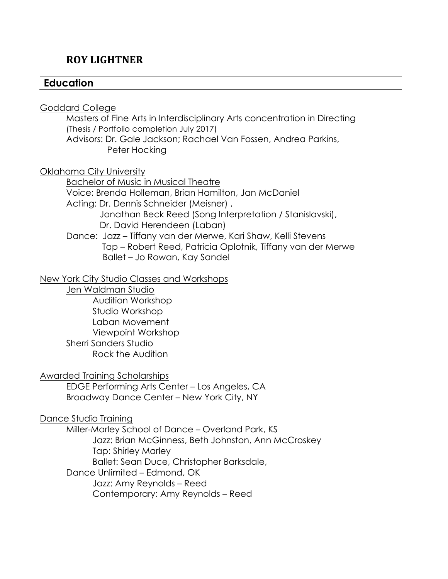# **ROY LIGHTNER**

# **Education**

Goddard College

Masters of Fine Arts in Interdisciplinary Arts concentration in Directing (Thesis / Portfolio completion July 2017) Advisors: Dr. Gale Jackson; Rachael Van Fossen, Andrea Parkins, Peter Hocking

Oklahoma City University

Bachelor of Music in Musical Theatre Voice: Brenda Holleman, Brian Hamilton, Jan McDaniel Acting: Dr. Dennis Schneider (Meisner) , Jonathan Beck Reed (Song Interpretation / Stanislavski), Dr. David Herendeen (Laban) Dance: Jazz – Tiffany van der Merwe, Kari Shaw, Kelli Stevens Tap – Robert Reed, Patricia Oplotnik, Tiffany van der Merwe Ballet – Jo Rowan, Kay Sandel

New York City Studio Classes and Workshops

Jen Waldman Studio Audition Workshop Studio Workshop Laban Movement Viewpoint Workshop

Sherri Sanders Studio

Rock the Audition

Awarded Training Scholarships

EDGE Performing Arts Center – Los Angeles, CA Broadway Dance Center – New York City, NY

Dance Studio Training

Miller-Marley School of Dance – Overland Park, KS Jazz: Brian McGinness, Beth Johnston, Ann McCroskey Tap: Shirley Marley Ballet: Sean Duce, Christopher Barksdale, Dance Unlimited – Edmond, OK Jazz: Amy Reynolds – Reed Contemporary: Amy Reynolds – Reed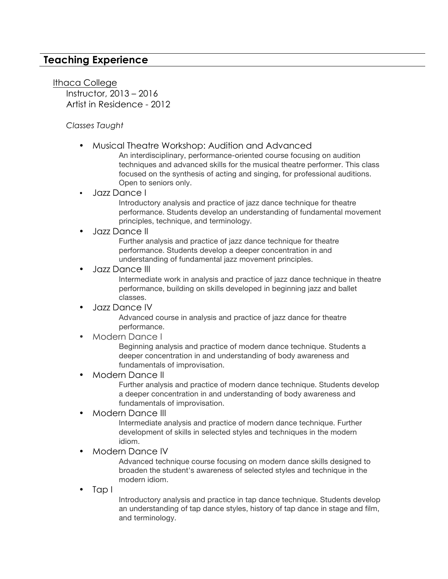# **Teaching Experience**

Ithaca College Instructor, 2013 – 2016 Artist in Residence - 2012

#### *Classes Taught*

• Musical Theatre Workshop: Audition and Advanced

An interdisciplinary, performance-oriented course focusing on audition techniques and advanced skills for the musical theatre performer. This class focused on the synthesis of acting and singing, for professional auditions. Open to seniors only.

#### • Jazz Dance I

Introductory analysis and practice of jazz dance technique for theatre performance. Students develop an understanding of fundamental movement principles, technique, and terminology.

#### • Jazz Dance II

Further analysis and practice of jazz dance technique for theatre performance. Students develop a deeper concentration in and understanding of fundamental jazz movement principles.

#### • Jazz Dance III

Intermediate work in analysis and practice of jazz dance technique in theatre performance, building on skills developed in beginning jazz and ballet classes.

#### • Jazz Dance IV

Advanced course in analysis and practice of jazz dance for theatre performance.

• Modern Dance I

Beginning analysis and practice of modern dance technique. Students a deeper concentration in and understanding of body awareness and fundamentals of improvisation.

#### • Modern Dance II

Further analysis and practice of modern dance technique. Students develop a deeper concentration in and understanding of body awareness and fundamentals of improvisation.

#### • Modern Dance III

Intermediate analysis and practice of modern dance technique. Further development of skills in selected styles and techniques in the modern idiom.

• Modern Dance IV

Advanced technique course focusing on modern dance skills designed to broaden the student's awareness of selected styles and technique in the modern idiom.

• Tap I

Introductory analysis and practice in tap dance technique. Students develop an understanding of tap dance styles, history of tap dance in stage and film, and terminology.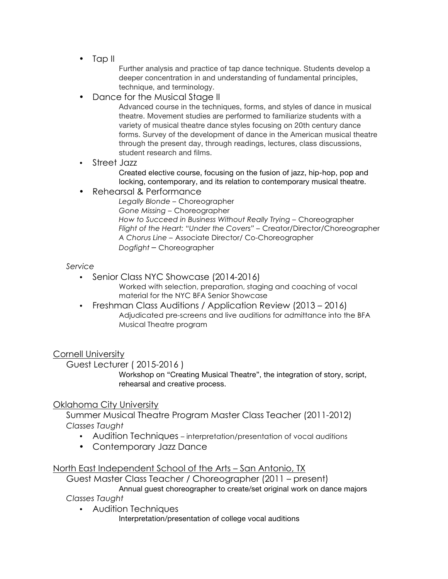• Tap II

Further analysis and practice of tap dance technique. Students develop a deeper concentration in and understanding of fundamental principles, technique, and terminology.

• Dance for the Musical Stage II

Advanced course in the techniques, forms, and styles of dance in musical theatre. Movement studies are performed to familiarize students with a variety of musical theatre dance styles focusing on 20th century dance forms. Survey of the development of dance in the American musical theatre through the present day, through readings, lectures, class discussions, student research and films.

• Street Jazz

Created elective course, focusing on the fusion of jazz, hip-hop, pop and locking, contemporary, and its relation to contemporary musical theatre.

• Rehearsal & Performance

*Legally Blonde* – Choreographer *Gone Missing* – Choreographer *How to Succeed in Business Without Really Trying* – Choreographer *Flight of the Heart: "Under the Covers"* – Creator/Director/Choreographer *A Chorus Line* – Associate Director/ Co-Choreographer *Dogfight* – Choreographer

### *Service*

- Senior Class NYC Showcase (2014-2016)
	- Worked with selection, preparation, staging and coaching of vocal material for the NYC BFA Senior Showcase
- Freshman Class Auditions / Application Review (2013 2016) Adjudicated pre-screens and live auditions for admittance into the BFA Musical Theatre program

Cornell University

Guest Lecturer ( 2015-2016 )

Workshop on "Creating Musical Theatre", the integration of story, script, rehearsal and creative process.

### Oklahoma City University

Summer Musical Theatre Program Master Class Teacher (2011-2012) *Classes Taught*

- Audition Techniques interpretation/presentation of vocal auditions
- Contemporary Jazz Dance

### North East Independent School of the Arts – San Antonio, TX

Guest Master Class Teacher / Choreographer (2011 – present)

Annual guest choreographer to create/set original work on dance majors

*Classes Taught*

• Audition Techniques

Interpretation/presentation of college vocal auditions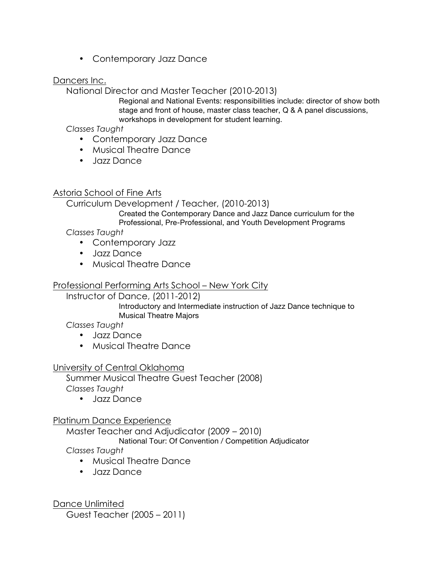• Contemporary Jazz Dance

### Dancers Inc.

National Director and Master Teacher (2010-2013)

Regional and National Events: responsibilities include: director of show both stage and front of house, master class teacher, Q & A panel discussions, workshops in development for student learning.

*Classes Taught*

- Contemporary Jazz Dance
- Musical Theatre Dance
- Jazz Dance

## Astoria School of Fine Arts

Curriculum Development / Teacher, (2010-2013)

Created the Contemporary Dance and Jazz Dance curriculum for the Professional, Pre-Professional, and Youth Development Programs

*Classes Taught*

- Contemporary Jazz
- Jazz Dance
- Musical Theatre Dance

# Professional Performing Arts School – New York City

Instructor of Dance, (2011-2012)

Introductory and Intermediate instruction of Jazz Dance technique to Musical Theatre Majors

*Classes Taught*

- Jazz Dance
- Musical Theatre Dance

## University of Central Oklahoma

Summer Musical Theatre Guest Teacher (2008) *Classes Taught*

• Jazz Dance

## Platinum Dance Experience

Master Teacher and Adjudicator (2009 – 2010)

National Tour: Of Convention / Competition Adjudicator

*Classes Taught*

- Musical Theatre Dance
- Jazz Dance

Dance Unlimited Guest Teacher (2005 – 2011)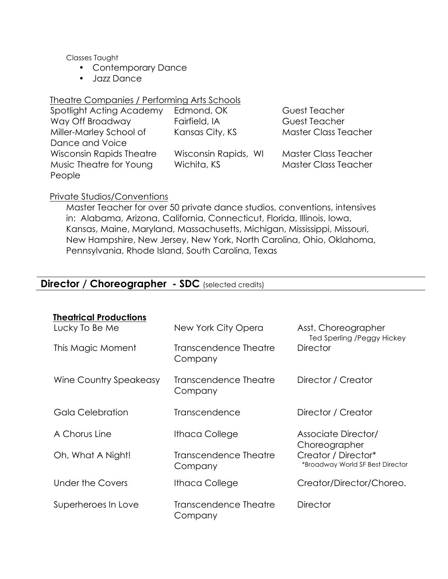Classes Taught

- Contemporary Dance
- Jazz Dance

### Theatre Companies / Performing Arts Schools

| Spotlight Acting Academy | Edmond, OK           | <b>Guest Teacher</b>        |
|--------------------------|----------------------|-----------------------------|
| Way Off Broadway         | Fairfield, IA        | Guest Teacher               |
| Miller-Marley School of  | Kansas City, KS      | <b>Master Class Teacher</b> |
| Dance and Voice          |                      |                             |
| Wisconsin Rapids Theatre | Wisconsin Rapids, WI | <b>Master Class Teacher</b> |
| Music Theatre for Young  | Wichita, KS          | <b>Master Class Teacher</b> |
| People                   |                      |                             |

### Private Studios/Conventions

Master Teacher for over 50 private dance studios, conventions, intensives in: Alabama, Arizona, California, Connecticut, Florida, Illinois, Iowa, Kansas, Maine, Maryland, Massachusetts, Michigan, Mississippi, Missouri, New Hampshire, New Jersey, New York, North Carolina, Ohio, Oklahoma, Pennsylvania, Rhode Island, South Carolina, Texas

# **Director / Choreographer - SDC** (selected credits)

| <b>Theatrical Productions</b> |                                  |                                                         |
|-------------------------------|----------------------------------|---------------------------------------------------------|
| Lucky To Be Me                | New York City Opera              | Asst. Choreographer<br>Ted Sperling /Peggy Hickey       |
| This Magic Moment             | Transcendence Theatre<br>Company | <b>Director</b>                                         |
| Wine Country Speakeasy        | Transcendence Theatre<br>Company | Director / Creator                                      |
| Gala Celebration              | Transcendence                    | Director / Creator                                      |
| A Chorus Line                 | Ithaca College                   | Associate Director/<br>Choreographer                    |
| Oh, What A Night!             | Transcendence Theatre<br>Company | Creator / Director*<br>*Broadway World SF Best Director |
| Under the Covers              | <b>Ithaca College</b>            | Creator/Director/Choreo.                                |
| Superheroes In Love           | Transcendence Theatre<br>Company | <b>Director</b>                                         |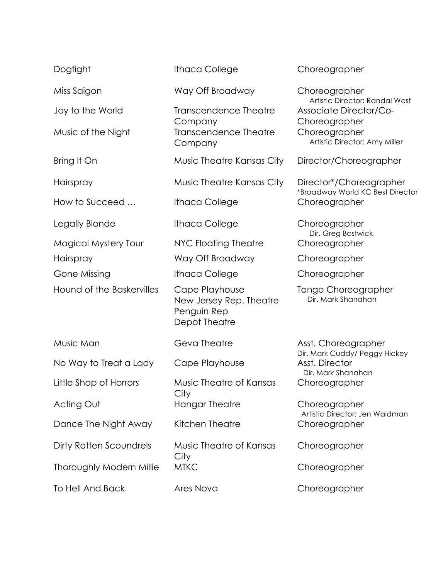| Dogfight                    | <b>Ithaca College</b>                                                     | Choreographer                                                         |
|-----------------------------|---------------------------------------------------------------------------|-----------------------------------------------------------------------|
| Miss Saigon                 | Way Off Broadway                                                          | Choreographer<br>Artistic Director: Randal West                       |
| Joy to the World            | <b>Transcendence Theatre</b>                                              | <b>Associate Director/Co-</b>                                         |
| Music of the Night          | Company<br><b>Transcendence Theatre</b><br>Company                        | Choreographer<br>Choreographer<br>Artistic Director: Amy Miller       |
| Bring It On                 | Music Theatre Kansas City                                                 | Director/Choreographer                                                |
| Hairspray                   | Music Theatre Kansas City                                                 | Director*/Choreographer                                               |
| How to Succeed              | <b>Ithaca College</b>                                                     | *Broadway World KC Best Director<br>Choreographer                     |
| Legally Blonde              | <b>Ithaca College</b>                                                     | Choreographer                                                         |
| <b>Magical Mystery Tour</b> | NYC Floating Theatre                                                      | Dir. Greg Bostwick<br>Choreographer                                   |
| Hairspray                   | Way Off Broadway                                                          | Choreographer                                                         |
| <b>Gone Missing</b>         | <b>Ithaca College</b>                                                     | Choreographer                                                         |
| Hound of the Baskervilles   | Cape Playhouse<br>New Jersey Rep. Theatre<br>Penguin Rep<br>Depot Theatre | Tango Choreographer<br>Dir. Mark Shanahan                             |
| Music Man                   | Geva Theatre                                                              | Asst. Choreographer                                                   |
| No Way to Treat a Lady      | Cape Playhouse                                                            | Dir. Mark Cuddy/ Peggy Hickey<br>Asst. Director<br>Dir. Mark Shanahan |
| Little Shop of Horrors      | Music Theatre of Kansas<br>City                                           | Choreographer                                                         |
| Acting Out                  | <b>Hangar Theatre</b>                                                     | Choreographer                                                         |
| Dance The Night Away        | Kitchen Theatre                                                           | Artistic Director: Jen Waldman<br>Choreographer                       |
| Dirty Rotten Scoundrels     | Music Theatre of Kansas<br>City                                           | Choreographer                                                         |
| Thoroughly Modern Millie    | <b>MTKC</b>                                                               | Choreographer                                                         |
| <b>To Hell And Back</b>     | Ares Nova                                                                 | Choreographer                                                         |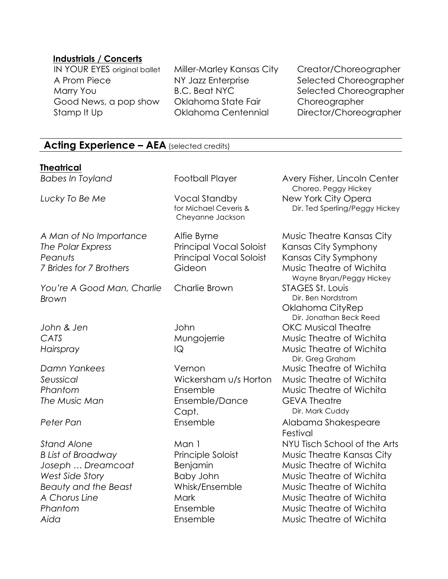### **Industrials / Concerts**

A Prom Piece **NY Jazz Enterprise** Selected Choreographer Marry You **B.C. Beat NYC** Selected Choreographer Good News, a pop show Oklahoma State Fair Choreographer Stamp It Up **CRICAL COMBING Centennial** Director/Choreographer

IN YOUR EYES original ballet Miller-Marley Kansas City Creator/Choreographer

# **Acting Experience – AEA** (selected credits)

### **Theatrical**

**Babes In Toyland Football Player Avery Fisher, Lincoln Center**  Choreo. Peggy Hickey *Lucky To Be Me* Vocal Standby for Michael Ceveris & Cheyanne Jackson New York City Opera Dir. Ted Sperling/Peggy Hickey A Man of No Importance Alfie Byrne Music Theatre Kansas City *The Polar Express* Principal Vocal Soloist Kansas City Symphony Peanuts **Principal Vocal Soloist** Kansas City Symphony *7 Brides for 7 Brothers* Gideon Music Theatre of Wichita Wayne Bryan/Peggy Hickey *You're A Good Man, Charlie Brown* Charlie Brown STAGES St. Louis Dir. Ben Nordstrom Oklahoma CityRep Dir. Jonathan Beck Reed *John & Jen* John OKC Musical Theatre *CATS* Mungojerrie Music Theatre of Wichita *Hairspray* IQ Music Theatre of Wichita Dir. Greg Graham *Damn Yankees* Vernon Music Theatre of Wichita *Seussical* Wickersham u/s Horton Music Theatre of Wichita Phantom **Ensemble Music Theatre of Wichita The Music Man Ensemble/Dance** Capt. GEVA Theatre Dir. Mark Cuddy Peter Pan<br>
Ensemble Alabama Shakespeare Festival *Stand Alone* Man 1 NYU Tisch School of the Arts B List of Broadway **Principle Soloist** Music Theatre Kansas City *Joseph* ... Dreamcoat and Benjamin and Music Theatre of Wichita West Side Story **Baby John** Music Theatre of Wichita *Beauty and the Beast* Whisk/Ensemble Music Theatre of Wichita A Chorus Line **Mark** Music Theatre of Wichita Phantom **Ensemble Music Theatre of Wichita** *Aida* Ensemble Music Theatre of Wichita